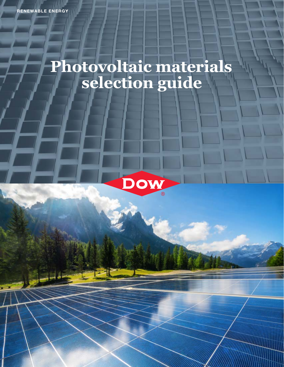## **Photovoltaic materials selection guide**

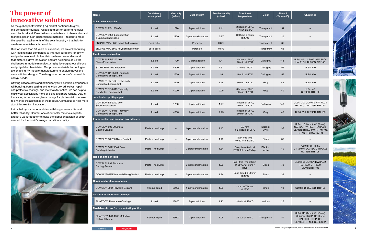## **The power of innovative solutions**



| <b>The power of</b>                                                                                                                                                                                                                                                                                                                                                                                                                                                                                                                                                                                                                                                                    | <b>Name</b>                                                              | Consistency<br>as supplied | Viscosity<br>(mPa.s) | <b>Cure system</b>  | <b>Relative density</b><br>(mixed) | Cure time/<br>temperature                             | Color             | <b>Shore A</b><br>(*Shore 00) | <b>UL ratings</b>                                                                                                        |
|----------------------------------------------------------------------------------------------------------------------------------------------------------------------------------------------------------------------------------------------------------------------------------------------------------------------------------------------------------------------------------------------------------------------------------------------------------------------------------------------------------------------------------------------------------------------------------------------------------------------------------------------------------------------------------------|--------------------------------------------------------------------------|----------------------------|----------------------|---------------------|------------------------------------|-------------------------------------------------------|-------------------|-------------------------------|--------------------------------------------------------------------------------------------------------------------------|
| innovative solutions                                                                                                                                                                                                                                                                                                                                                                                                                                                                                                                                                                                                                                                                   | Solar cell encapsulant                                                   |                            |                      |                     |                                    |                                                       |                   |                               |                                                                                                                          |
| As the global photovoltaic (PV) market continues to grow,<br>the demand for durable, reliable and better performing solar<br>modules is critical. Dow delivers a wide base of chemistries and<br>technologies in high-performance materials - tested to meet                                                                                                                                                                                                                                                                                                                                                                                                                           | DOWSIL <sup>™</sup> EG-1200 Gel                                          | Liquid                     | 1790                 | 2-part addition     | 1.11                               | 2 hours at 25°C,<br>1 hour at 32°C                    | Transparent       | $*51$                         |                                                                                                                          |
|                                                                                                                                                                                                                                                                                                                                                                                                                                                                                                                                                                                                                                                                                        | DOWSIL™ 9955 Encapsulation<br>& Lamination Silicone                      | Liquid                     | 2800                 | 2-part condensation | 0.97                               | Gel time 9 hours<br>at $23^{\circ}$ C                 | Transparent       | 10                            |                                                                                                                          |
| the specific requirements of the solar industry - that help to<br>create more reliable solar modules.                                                                                                                                                                                                                                                                                                                                                                                                                                                                                                                                                                                  | ENGAGE™ PV 8660 Polyolefin Elastomer                                     | Solid pellet               |                      | Peroxide            | 0.872                              | $\overline{\phantom{a}}$                              | Transparent       | 66                            |                                                                                                                          |
| Built on more than 50 years of expertise, we are collaborating                                                                                                                                                                                                                                                                                                                                                                                                                                                                                                                                                                                                                         | ENGAGE™ PV 8669 Polyolefin Elastomer                                     | Solid pellet               |                      | Peroxide            | 0.873                              | $\overline{\phantom{a}}$                              | Transparent       | 68                            |                                                                                                                          |
| with leading solar companies to improve durability, longevity,                                                                                                                                                                                                                                                                                                                                                                                                                                                                                                                                                                                                                         | <b>Electronics encapsulant</b>                                           |                            |                      |                     |                                    |                                                       |                   |                               |                                                                                                                          |
| and performance of photovoltaic systems. We understand<br>that materials drive innovation and are helping to solve the<br>challenges in module manufacturing by leveraging our silicone<br>and polyolefin chemistries. Our proven materials technologies<br>are enabling PV module manufacturers to explore novel and<br>more efficient designs. The designs for tomorrow's renewable<br>energy needs.<br>Offering encapsulants and potting for your electronic components,<br>rail bonding, frame sealing and junction box adhesives, repair<br>and protective coatings, and materials for optics, we can help to<br>make your applications more efficient, and more reliable. Dow is | DOWSIL™ EE-3200 Low<br><b>Stress Encapsulant</b>                         | Liquid                     | 1700                 | 2-part addition     | 1.47                               | 3 hours at 25°C,<br>20 min at 50°C                    | Dark grey         | $*43$                         | UL94: V-0; UL746A: HWI PLC4,<br>HAI PLC1; UL746B: RTI 150                                                                |
|                                                                                                                                                                                                                                                                                                                                                                                                                                                                                                                                                                                                                                                                                        | SYLGARD <sup>™</sup> 160 Elastomer                                       | Liquid                     | 4500                 | 2-part addition     | 1.61                               | 4 min at 100°C                                        | Dark grey         | 55                            | <b>UL94: V-0</b>                                                                                                         |
|                                                                                                                                                                                                                                                                                                                                                                                                                                                                                                                                                                                                                                                                                        | DOWSIL™ CN-8760 Thermally<br><b>Conductive Encapsulant</b>               | Liquid                     | 2700                 | 2-part addition     | 1.6                                | 40 min at 50°C                                        | Dark grey         | 55                            | <b>UL94: V-0</b>                                                                                                         |
|                                                                                                                                                                                                                                                                                                                                                                                                                                                                                                                                                                                                                                                                                        | DOWSIL <sup>™</sup> CN-8760 G Thermally<br><b>Conductive Encapsulant</b> | Liquid                     | 3200                 | 2-part addition     | 1.58                               | 30 min at 60°C                                        | Grey              | 45                            | UL94: V-0                                                                                                                |
|                                                                                                                                                                                                                                                                                                                                                                                                                                                                                                                                                                                                                                                                                        | DOWSIL <sup>™</sup> TC-6015 Thermally<br><b>Conductive Encapsulant</b>   | Liquid                     | 4000                 | 2-part addition     | 2.25                               | 3 hours at 25°C,<br>30 min at 70°C                    | Grey              | 40                            | UL94: V-0;<br>UL746B: RTI 150                                                                                            |
| innovating in decorative glass coatings for photovoltaic modules                                                                                                                                                                                                                                                                                                                                                                                                                                                                                                                                                                                                                       | Junction box potting agent                                               |                            |                      |                     |                                    |                                                       |                   |                               |                                                                                                                          |
| to enhance the aesthetics of the module. Contact us to hear more<br>about this exciting innovation.                                                                                                                                                                                                                                                                                                                                                                                                                                                                                                                                                                                    | DOWSIL™ EE-3200 Low<br><b>Stress Encapsulant</b>                         | Liquid                     | 1700                 | 2-part addition     | 1.47                               | 3 hours at 25°C,<br>20 min at 50°C                    | Dark grey         | $*43$                         | UL94: V-0; UL746A: HWI PLC4,<br>HAI PLC1; UL746B: RTI 150                                                                |
| Let us help you create modules with longer service life and<br>better reliability. Contact one of our solar materials experts,                                                                                                                                                                                                                                                                                                                                                                                                                                                                                                                                                         | DOWSIL <sup>™</sup> TC-6015 Thermally<br><b>Conductive Encapsulant</b>   | Liquid                     | 4000                 | 2-part addition     | 2.25                               | 3 hours at 25°C.<br>30 min at 70°C                    | Grey              | 40                            | UL94: V-0; UL746B: RTI 150                                                                                               |
| and let's work together to make the global expansion of solar<br>needed for the world's energy transition a reality.                                                                                                                                                                                                                                                                                                                                                                                                                                                                                                                                                                   | Frame sealant and junction box adhesive                                  |                            |                      |                     |                                    |                                                       |                   |                               |                                                                                                                          |
|                                                                                                                                                                                                                                                                                                                                                                                                                                                                                                                                                                                                                                                                                        | DOWSIL <sup>™</sup> 895 Structural<br><b>Glazing Sealant</b>             | Paste – no slump           |                      | 1-part condensation | 1.43                               | $2.2 \text{ mm}$<br>in 24 hours at 25°C               | Black or<br>white | 38                            | UL94: HB (3 mm), V-1 (5 mm);<br>UL746A: HWI PLC4, HAI PLC2;<br>UL746B: RTI ES 140, RTI MI 105,<br>RTI MS 115; UL746C: f2 |
|                                                                                                                                                                                                                                                                                                                                                                                                                                                                                                                                                                                                                                                                                        | DOWSIL <sup>™</sup> SJ 268 Black Sealant                                 | Paste – no slump           |                      | 1-part condensation | 1.43                               | Tack-free time<br>40-60 min at 25°C                   | <b>Black</b>      | 30                            |                                                                                                                          |
|                                                                                                                                                                                                                                                                                                                                                                                                                                                                                                                                                                                                                                                                                        | DOWSIL™ S122 Fast Cure<br><b>Bonding Adhesive</b>                        | Paste - no slump           |                      | 2-part condensation | 1.34                               | Snap time 5 min at<br>25°C, full cure 7 days          | Black or<br>white | 40                            | UL94: HB (1mm),<br>V-1 (5mm); UL746A: CTI PLC0;<br>UL746B: RTI 105                                                       |
|                                                                                                                                                                                                                                                                                                                                                                                                                                                                                                                                                                                                                                                                                        | Rail bonding adhesive                                                    |                            |                      |                     |                                    |                                                       |                   |                               |                                                                                                                          |
|                                                                                                                                                                                                                                                                                                                                                                                                                                                                                                                                                                                                                                                                                        | DOWSIL <sup>™</sup> 993 Structural<br><b>Glazing Sealant</b>             | Paste – no slump           |                      | 2-part condensation | 1.30                               | Tack-free time 90 min<br>at 25°C, full cure 7<br>days | <b>Black</b>      | 40                            | UL94: HB; UL746A: HWI PLC2,<br>HAI PLCO, CTI PLCO;<br>UL746B: RTI 105                                                    |
|                                                                                                                                                                                                                                                                                                                                                                                                                                                                                                                                                                                                                                                                                        | DOWSIL <sup>™</sup> 993N Structural Glazing Sealant                      | Paste – no slump           |                      | 2-part condensation | 1.34                               | Snap time 20-60 min<br>at 25°C                        | <b>Black</b>      | 39                            |                                                                                                                          |
|                                                                                                                                                                                                                                                                                                                                                                                                                                                                                                                                                                                                                                                                                        | Repair and protective coating                                            |                            |                      |                     |                                    |                                                       |                   |                               |                                                                                                                          |
|                                                                                                                                                                                                                                                                                                                                                                                                                                                                                                                                                                                                                                                                                        | DOWSIL <sup>™</sup> 7094 Flowable Sealant                                | Viscous liquid             | 28000                | 1-part condensation | 1.30                               | 1 mm in 7 hours<br>at $23^{\circ}$ C                  | White             | 19                            | UL94: HB; UL746B: RTI 105                                                                                                |
|                                                                                                                                                                                                                                                                                                                                                                                                                                                                                                                                                                                                                                                                                        | SILASTIC™ decorative coatings                                            |                            |                      |                     |                                    |                                                       |                   |                               |                                                                                                                          |
|                                                                                                                                                                                                                                                                                                                                                                                                                                                                                                                                                                                                                                                                                        | SILASTIC™ Decorative Coatings                                            | Liquid                     | 13000                | 2-part addition     | 1.13                               | 10 min at 120°C                                       | Various           | 25                            |                                                                                                                          |
|                                                                                                                                                                                                                                                                                                                                                                                                                                                                                                                                                                                                                                                                                        | Moldable silicone for concentrating optics                               |                            |                      |                     |                                    |                                                       |                   |                               |                                                                                                                          |
|                                                                                                                                                                                                                                                                                                                                                                                                                                                                                                                                                                                                                                                                                        | SILASTIC™ MS-4002 Moldable<br><b>Optical Silicone</b>                    | Viscous liquid             | 25000                | 2-part addition     | 1.08                               | 25 sec at $150^{\circ}$ C                             | Transparent       | 84                            | UL94: HB (1mm), V-1 (8mm);<br>UL746A: HWI PLC3 (3mm),<br>HAI PLCO, CTI PLCO;<br>UL746B: RTI 150; UL746C: f1              |
|                                                                                                                                                                                                                                                                                                                                                                                                                                                                                                                                                                                                                                                                                        | Silicone<br>Polyolefin                                                   |                            |                      |                     |                                    |                                                       |                   |                               | These are typical properties, not to be construed as specifications.                                                     |